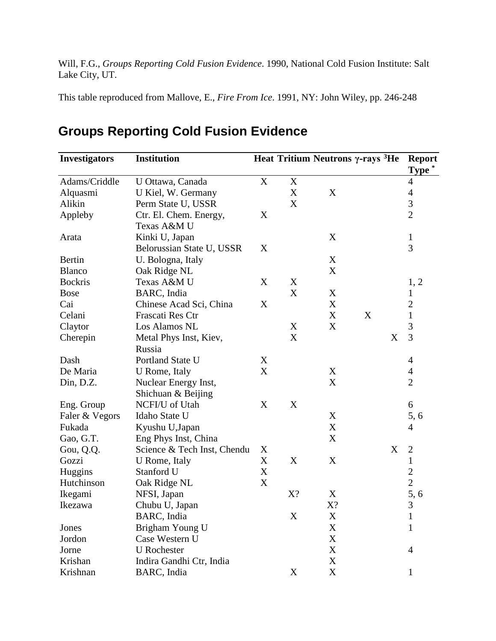Will, F.G., *Groups Reporting Cold Fusion Evidence*. 1990, National Cold Fusion Institute: Salt Lake City, UT.

This table reproduced from Mallove, E., *Fire From Ice*. 1991, NY: John Wiley, pp. 246-248

| <b>Investigators</b> | <b>Institution</b>          |                           |             | Heat Tritium Neutrons $\gamma$ -rays <sup>3</sup> He |   |   | <b>Report</b><br>Type * |
|----------------------|-----------------------------|---------------------------|-------------|------------------------------------------------------|---|---|-------------------------|
| Adams/Criddle        | U Ottawa, Canada            | $\mathbf X$               | $\mathbf X$ |                                                      |   |   | $\overline{4}$          |
| Alquasmi             | U Kiel, W. Germany          |                           | X           | X                                                    |   |   | $\overline{4}$          |
| Alikin               | Perm State U, USSR          |                           | X           |                                                      |   |   | 3                       |
| Appleby              | Ctr. El. Chem. Energy,      | X                         |             |                                                      |   |   | $\overline{2}$          |
|                      | Texas A&M U                 |                           |             |                                                      |   |   |                         |
| Arata                | Kinki U, Japan              |                           |             | X                                                    |   |   | $\mathbf{1}$            |
|                      | Belorussian State U, USSR   | X                         |             |                                                      |   |   | 3                       |
| <b>Bertin</b>        | U. Bologna, Italy           |                           |             | X                                                    |   |   |                         |
| <b>Blanco</b>        | Oak Ridge NL                |                           |             | $\mathbf X$                                          |   |   |                         |
| <b>Bockris</b>       | Texas A&M U                 | X                         | X           |                                                      |   |   | 1, 2                    |
| <b>Bose</b>          | BARC, India                 |                           | X           | $\mathbf X$                                          |   |   | $\mathbf{1}$            |
| Cai                  | Chinese Acad Sci, China     | X                         |             | X                                                    |   |   | $\overline{2}$          |
| Celani               | Frascati Res Ctr            |                           |             | X                                                    | X |   | $\mathbf{1}$            |
| Claytor              | Los Alamos NL               |                           | X           | X                                                    |   |   | 3                       |
| Cherepin             | Metal Phys Inst, Kiev,      |                           | X           |                                                      |   | X | 3                       |
|                      | Russia                      |                           |             |                                                      |   |   |                         |
| Dash                 | Portland State U            | X                         |             |                                                      |   |   | 4                       |
| De Maria             | U Rome, Italy               | X                         |             | X                                                    |   |   | $\overline{4}$          |
| Din, D.Z.            | Nuclear Energy Inst,        |                           |             | X                                                    |   |   | $\overline{2}$          |
|                      | Shichuan & Beijing          |                           |             |                                                      |   |   |                         |
| Eng. Group           | NCFI/U of Utah              | X                         | X           |                                                      |   |   | 6                       |
| Faler & Vegors       | Idaho State U               |                           |             | X                                                    |   |   | 5,6                     |
| Fukada               | Kyushu U,Japan              |                           |             | X                                                    |   |   | $\overline{4}$          |
| Gao, G.T.            | Eng Phys Inst, China        |                           |             | X                                                    |   |   |                         |
| Gou, Q.Q.            | Science & Tech Inst, Chendu | X                         |             |                                                      |   | X | $\mathbf{2}$            |
| Gozzi                | U Rome, Italy               | X                         | X           | X                                                    |   |   | $\mathbf{1}$            |
| Huggins              | Stanford U                  | $\boldsymbol{\mathrm{X}}$ |             |                                                      |   |   | $\overline{2}$          |
| Hutchinson           | Oak Ridge NL                | X                         |             |                                                      |   |   | $\overline{2}$          |
| Ikegami              | NFSI, Japan                 |                           | X?          | X                                                    |   |   | 5, 6                    |
| Ikezawa              | Chubu U, Japan              |                           |             | X?                                                   |   |   | 3                       |
|                      | BARC, India                 |                           | X           | X                                                    |   |   | 1                       |
| Jones                | Brigham Young U             |                           |             | $\mathbf X$                                          |   |   | 1                       |
| Jordon               | Case Western U              |                           |             | $\mathbf X$                                          |   |   |                         |
| Jorne                | <b>U</b> Rochester          |                           |             | $\mathbf X$                                          |   |   | 4                       |
| Krishan              | Indira Gandhi Ctr, India    |                           |             | $\mathbf X$                                          |   |   |                         |
| Krishnan             | BARC, India                 |                           | X           | $\mathbf X$                                          |   |   | 1                       |

## **Groups Reporting Cold Fusion Evidence**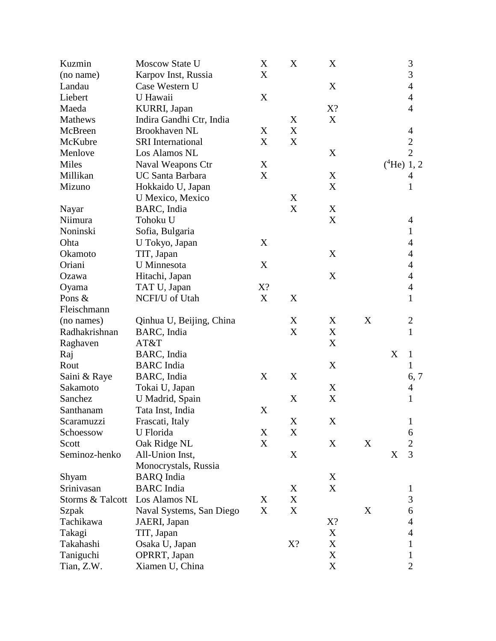| Kuzmin           | Moscow State U           | X                         | X           | X           |   | $\mathfrak{Z}$                 |
|------------------|--------------------------|---------------------------|-------------|-------------|---|--------------------------------|
| (no name)        | Karpov Inst, Russia      | X                         |             |             |   | 3                              |
| Landau           | Case Western U           |                           |             | X           |   | $\overline{4}$                 |
| Liebert          | U Hawaii                 | $\mathbf X$               |             |             |   | $\overline{4}$                 |
| Maeda            | KURRI, Japan             |                           |             | X?          |   | $\overline{4}$                 |
| Mathews          | Indira Gandhi Ctr, India |                           | X           | $\mathbf X$ |   |                                |
| McBreen          | Brookhaven NL            | X                         | X           |             |   | 4                              |
| McKubre          | <b>SRI</b> International | X                         | X           |             |   |                                |
| Menlove          | Los Alamos NL            |                           |             | X           |   | $\frac{2}{2}$                  |
| Miles            | Naval Weapons Ctr        | X                         |             |             |   | $(^4He)$ 1, 2                  |
| Millikan         | <b>UC Santa Barbara</b>  | $\boldsymbol{\mathrm{X}}$ |             | $\mathbf X$ |   | 4                              |
| Mizuno           | Hokkaido U, Japan        |                           |             | X           |   | $\mathbf{1}$                   |
|                  | U Mexico, Mexico         |                           | X           |             |   |                                |
| Nayar            | BARC, India              |                           | $\mathbf X$ | $\mathbf X$ |   |                                |
| Niimura          | Tohoku U                 |                           |             | $\mathbf X$ |   | $\overline{4}$                 |
| Noninski         | Sofia, Bulgaria          |                           |             |             |   | 1                              |
| Ohta             | U Tokyo, Japan           | X                         |             |             |   | $\overline{4}$                 |
| Okamoto          | TIT, Japan               |                           |             | X           |   | $\overline{4}$                 |
| Oriani           | U Minnesota              | X                         |             |             |   | $\overline{4}$                 |
| Ozawa            | Hitachi, Japan           |                           |             | X           |   | $\overline{4}$                 |
| Oyama            | TAT U, Japan             | X?                        |             |             |   | $\overline{4}$                 |
| Pons &           | NCFI/U of Utah           | X                         | X           |             |   | $\mathbf{1}$                   |
| Fleischmann      |                          |                           |             |             |   |                                |
|                  |                          |                           | X           | X           | X |                                |
| (no names)       | Qinhua U, Beijing, China |                           | X           |             |   | $\overline{c}$<br>$\mathbf{1}$ |
| Radhakrishnan    | BARC, India              |                           |             | X           |   |                                |
| Raghaven         | AT&T                     |                           |             | $\mathbf X$ |   |                                |
| Raj              | BARC, India              |                           |             |             |   | X<br>$\mathbf{1}$              |
| Rout             | <b>BARC</b> India        |                           |             | X           |   | 1                              |
| Saini & Raye     | BARC, India              | X                         | X           |             |   | 6, 7                           |
| Sakamoto         | Tokai U, Japan           |                           |             | X           |   | $\overline{4}$                 |
| Sanchez          | U Madrid, Spain          |                           | X           | $\mathbf X$ |   | 1                              |
| Santhanam        | Tata Inst, India         | X                         |             |             |   |                                |
| Scaramuzzi       | Frascati, Italy          |                           | $\mathbf X$ | $\mathbf X$ |   | $\mathbf{1}$                   |
| Schoessow        | U Florida                | X                         | X           |             |   | 6                              |
| Scott            | Oak Ridge NL             | X                         |             | X           | X | $\overline{c}$                 |
| Seminoz-henko    | All-Union Inst,          |                           | X           |             |   | 3<br>X                         |
|                  | Monocrystals, Russia     |                           |             |             |   |                                |
| Shyam            | <b>BARQ</b> India        |                           |             | X           |   |                                |
| Srinivasan       | <b>BARC</b> India        |                           | X           | $\mathbf X$ |   | 1                              |
| Storms & Talcott | Los Alamos NL            | X                         | X           |             |   | 3                              |
| Szpak            | Naval Systems, San Diego | $\boldsymbol{\mathrm{X}}$ | $\mathbf X$ |             | X | 6                              |
| Tachikawa        | JAERI, Japan             |                           |             | X?          |   | $\overline{4}$                 |
| Takagi           | TIT, Japan               |                           |             | X           |   | $\overline{4}$                 |
| Takahashi        | Osaka U, Japan           |                           | X?          | $\mathbf X$ |   | $\mathbf 1$                    |
| Taniguchi        | OPRRT, Japan             |                           |             | $\mathbf X$ |   | $\mathbf{1}$                   |
| Tian, Z.W.       | Xiamen U, China          |                           |             | $\mathbf X$ |   | $\overline{2}$                 |